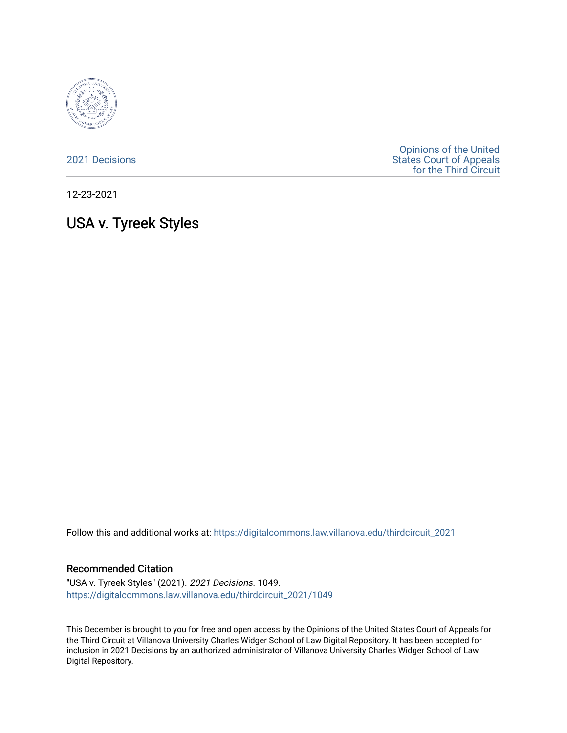

[2021 Decisions](https://digitalcommons.law.villanova.edu/thirdcircuit_2021)

[Opinions of the United](https://digitalcommons.law.villanova.edu/thirdcircuit)  [States Court of Appeals](https://digitalcommons.law.villanova.edu/thirdcircuit)  [for the Third Circuit](https://digitalcommons.law.villanova.edu/thirdcircuit) 

12-23-2021

# USA v. Tyreek Styles

Follow this and additional works at: [https://digitalcommons.law.villanova.edu/thirdcircuit\\_2021](https://digitalcommons.law.villanova.edu/thirdcircuit_2021?utm_source=digitalcommons.law.villanova.edu%2Fthirdcircuit_2021%2F1049&utm_medium=PDF&utm_campaign=PDFCoverPages) 

#### Recommended Citation

"USA v. Tyreek Styles" (2021). 2021 Decisions. 1049. [https://digitalcommons.law.villanova.edu/thirdcircuit\\_2021/1049](https://digitalcommons.law.villanova.edu/thirdcircuit_2021/1049?utm_source=digitalcommons.law.villanova.edu%2Fthirdcircuit_2021%2F1049&utm_medium=PDF&utm_campaign=PDFCoverPages) 

This December is brought to you for free and open access by the Opinions of the United States Court of Appeals for the Third Circuit at Villanova University Charles Widger School of Law Digital Repository. It has been accepted for inclusion in 2021 Decisions by an authorized administrator of Villanova University Charles Widger School of Law Digital Repository.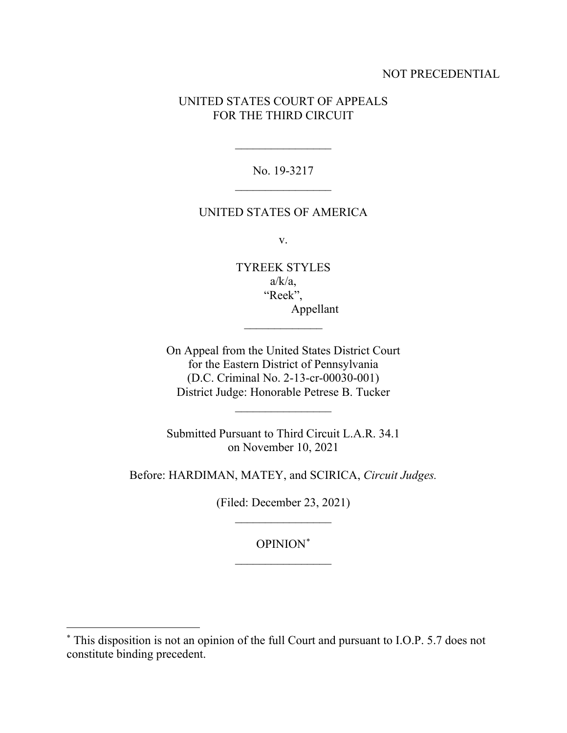# NOT PRECEDENTIAL

# UNITED STATES COURT OF APPEALS FOR THE THIRD CIRCUIT

No. 19-3217

 $\frac{1}{2}$ 

#### UNITED STATES OF AMERICA

v.

TYREEK STYLES  $a/k/a$ , "Reek", Appellant

 $\frac{1}{2}$ 

On Appeal from the United States District Court for the Eastern District of Pennsylvania (D.C. Criminal No. 2-13-cr-00030-001) District Judge: Honorable Petrese B. Tucker

 $\frac{1}{2}$ 

Submitted Pursuant to Third Circuit L.A.R. 34.1 on November 10, 2021

Before: HARDIMAN, MATEY, and SCIRICA, *Circuit Judges.*

(Filed: December 23, 2021)  $\frac{1}{2}$ 

> OPINION\*  $\frac{1}{2}$

<sup>\*</sup> This disposition is not an opinion of the full Court and pursuant to I.O.P. 5.7 does not constitute binding precedent.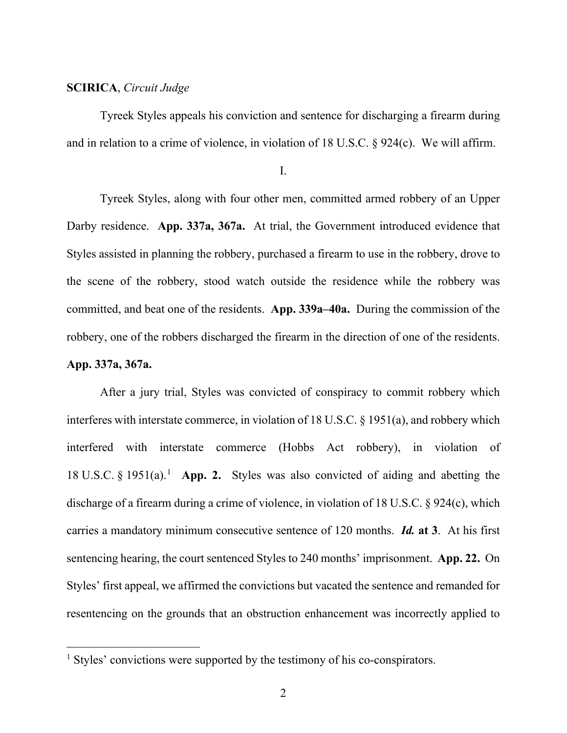## **SCIRICA**, *Circuit Judge*

Tyreek Styles appeals his conviction and sentence for discharging a firearm during and in relation to a crime of violence, in violation of 18 U.S.C. § 924(c). We will affirm.

I.

Tyreek Styles, along with four other men, committed armed robbery of an Upper Darby residence. **App. 337a, 367a.** At trial, the Government introduced evidence that Styles assisted in planning the robbery, purchased a firearm to use in the robbery, drove to the scene of the robbery, stood watch outside the residence while the robbery was committed, and beat one of the residents. **App. 339a–40a.** During the commission of the robbery, one of the robbers discharged the firearm in the direction of one of the residents.

#### **App. 337a, 367a.**

After a jury trial, Styles was convicted of conspiracy to commit robbery which interferes with interstate commerce, in violation of 18 U.S.C. § 1951(a), and robbery which interfered with interstate commerce (Hobbs Act robbery), in violation of 18 U.S.C. § 1951(a).1 **App. 2.** Styles was also convicted of aiding and abetting the discharge of a firearm during a crime of violence, in violation of 18 U.S.C. § 924(c), which carries a mandatory minimum consecutive sentence of 120 months. *Id.* **at 3**. At his first sentencing hearing, the court sentenced Styles to 240 months' imprisonment. **App. 22.** On Styles' first appeal, we affirmed the convictions but vacated the sentence and remanded for resentencing on the grounds that an obstruction enhancement was incorrectly applied to

<sup>&</sup>lt;sup>1</sup> Styles' convictions were supported by the testimony of his co-conspirators.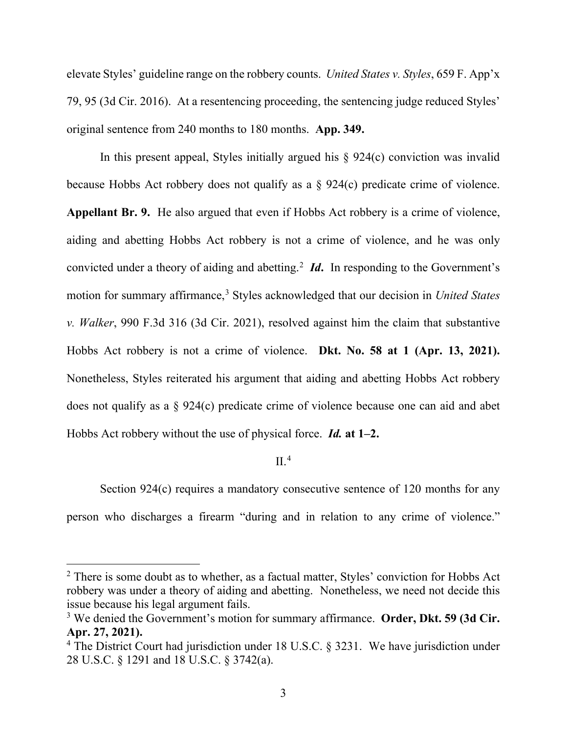elevate Styles' guideline range on the robbery counts. *United States v. Styles*, 659 F. App'x 79, 95 (3d Cir. 2016). At a resentencing proceeding, the sentencing judge reduced Styles' original sentence from 240 months to 180 months. **App. 349.**

In this present appeal, Styles initially argued his  $\S$  924(c) conviction was invalid because Hobbs Act robbery does not qualify as a § 924(c) predicate crime of violence. **Appellant Br. 9.** He also argued that even if Hobbs Act robbery is a crime of violence, aiding and abetting Hobbs Act robbery is not a crime of violence, and he was only convicted under a theory of aiding and abetting. 2 *Id***.** In responding to the Government's motion for summary affirmance,<sup>3</sup> Styles acknowledged that our decision in *United States v. Walker*, 990 F.3d 316 (3d Cir. 2021), resolved against him the claim that substantive Hobbs Act robbery is not a crime of violence. **Dkt. No. 58 at 1 (Apr. 13, 2021).** Nonetheless, Styles reiterated his argument that aiding and abetting Hobbs Act robbery does not qualify as a § 924(c) predicate crime of violence because one can aid and abet Hobbs Act robbery without the use of physical force. *Id.* **at 1–2.**

# $II.4$

Section 924(c) requires a mandatory consecutive sentence of 120 months for any person who discharges a firearm "during and in relation to any crime of violence."

<sup>&</sup>lt;sup>2</sup> There is some doubt as to whether, as a factual matter, Styles' conviction for Hobbs Act robbery was under a theory of aiding and abetting. Nonetheless, we need not decide this issue because his legal argument fails.

<sup>3</sup> We denied the Government's motion for summary affirmance. **Order, Dkt. 59 (3d Cir. Apr. 27, 2021).**

<sup>&</sup>lt;sup>4</sup> The District Court had jurisdiction under 18 U.S.C. § 3231. We have jurisdiction under 28 U.S.C. § 1291 and 18 U.S.C. § 3742(a).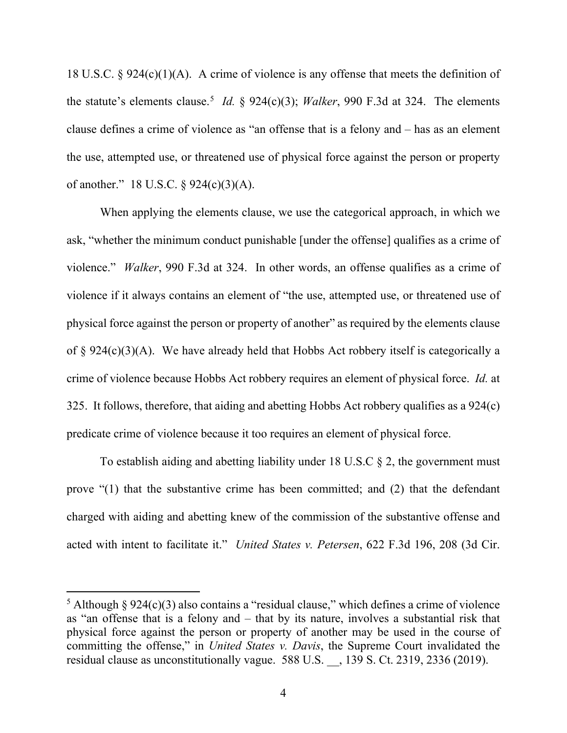18 U.S.C. § 924(c)(1)(A). A crime of violence is any offense that meets the definition of the statute's elements clause. <sup>5</sup> *Id.* § 924(c)(3); *Walker*, 990 F.3d at 324. The elements clause defines a crime of violence as "an offense that is a felony and – has as an element the use, attempted use, or threatened use of physical force against the person or property of another." 18 U.S.C. § 924(c)(3)(A).

When applying the elements clause, we use the categorical approach, in which we ask, "whether the minimum conduct punishable [under the offense] qualifies as a crime of violence." *Walker*, 990 F.3d at 324. In other words, an offense qualifies as a crime of violence if it always contains an element of "the use, attempted use, or threatened use of physical force against the person or property of another" as required by the elements clause of  $\S 924(c)(3)(A)$ . We have already held that Hobbs Act robbery itself is categorically a crime of violence because Hobbs Act robbery requires an element of physical force. *Id.* at 325. It follows, therefore, that aiding and abetting Hobbs Act robbery qualifies as a 924(c) predicate crime of violence because it too requires an element of physical force.

To establish aiding and abetting liability under 18 U.S.C  $\S$  2, the government must prove "(1) that the substantive crime has been committed; and (2) that the defendant charged with aiding and abetting knew of the commission of the substantive offense and acted with intent to facilitate it." *United States v. Petersen*, 622 F.3d 196, 208 (3d Cir.

<sup>&</sup>lt;sup>5</sup> Although § 924(c)(3) also contains a "residual clause," which defines a crime of violence as "an offense that is a felony and – that by its nature, involves a substantial risk that physical force against the person or property of another may be used in the course of committing the offense," in *United States v. Davis*, the Supreme Court invalidated the residual clause as unconstitutionally vague. 588 U.S. \_\_, 139 S. Ct. 2319, 2336 (2019).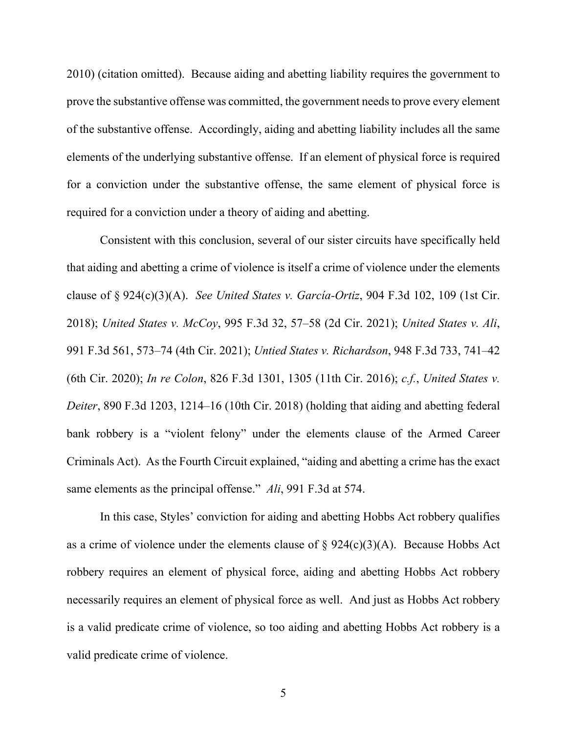2010) (citation omitted). Because aiding and abetting liability requires the government to prove the substantive offense was committed, the government needs to prove every element of the substantive offense. Accordingly, aiding and abetting liability includes all the same elements of the underlying substantive offense. If an element of physical force is required for a conviction under the substantive offense, the same element of physical force is required for a conviction under a theory of aiding and abetting.

Consistent with this conclusion, several of our sister circuits have specifically held that aiding and abetting a crime of violence is itself a crime of violence under the elements clause of § 924(c)(3)(A). *See United States v. García-Ortiz*, 904 F.3d 102, 109 (1st Cir. 2018); *United States v. McCoy*, 995 F.3d 32, 57–58 (2d Cir. 2021); *United States v. Ali*, 991 F.3d 561, 573–74 (4th Cir. 2021); *Untied States v. Richardson*, 948 F.3d 733, 741–42 (6th Cir. 2020); *In re Colon*, 826 F.3d 1301, 1305 (11th Cir. 2016); *c.f.*, *United States v. Deiter*, 890 F.3d 1203, 1214–16 (10th Cir. 2018) (holding that aiding and abetting federal bank robbery is a "violent felony" under the elements clause of the Armed Career Criminals Act). As the Fourth Circuit explained, "aiding and abetting a crime has the exact same elements as the principal offense." *Ali*, 991 F.3d at 574.

In this case, Styles' conviction for aiding and abetting Hobbs Act robbery qualifies as a crime of violence under the elements clause of  $\S 924(c)(3)(A)$ . Because Hobbs Act robbery requires an element of physical force, aiding and abetting Hobbs Act robbery necessarily requires an element of physical force as well. And just as Hobbs Act robbery is a valid predicate crime of violence, so too aiding and abetting Hobbs Act robbery is a valid predicate crime of violence.